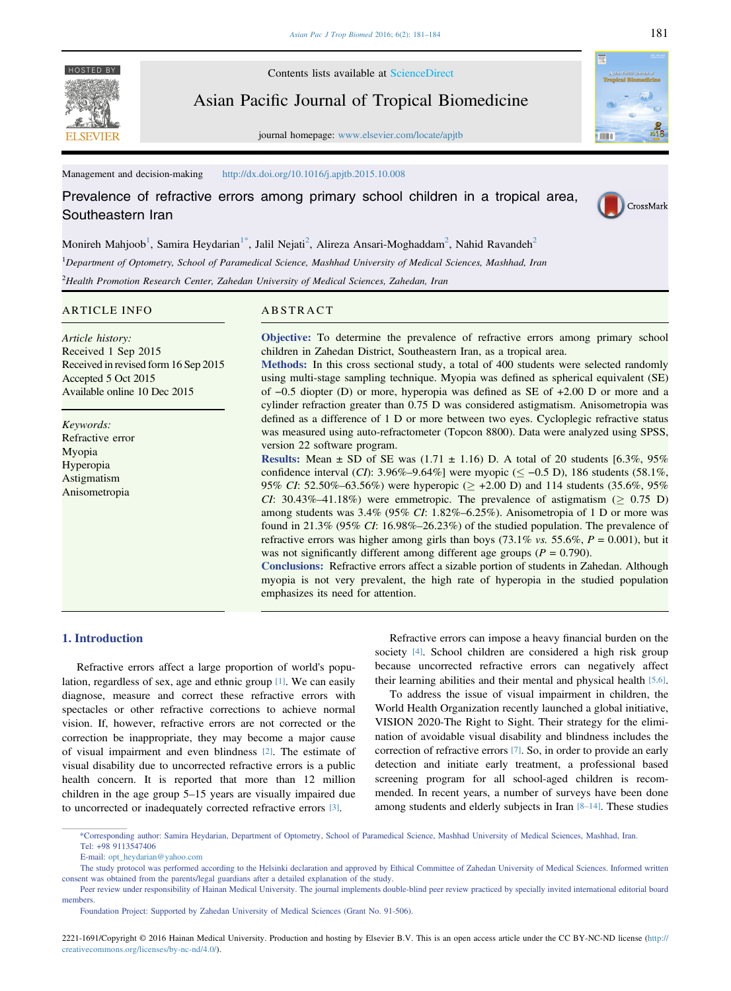**FI SEVIER** 

HOSTED BY Contents lists available at [ScienceDirect](www.sciencedirect.com/science/journal/22211691)

Asian Pacific Journal of Tropical Biomedicine

journal homepage: [www.elsevier.com/locate/apjtb](http://www.elsevier.com/locate/apjtb)

Management and decision-making <http://dx.doi.org/10.1016/j.apjtb.2015.10.008>

Prevalence of refractive errors among primary school children in a tropical area, Southeastern Iran



min a

Monireh Mahjoob<sup>1</sup>, Samira Heydarian<sup>1\*</sup>, Jalil Nejati<sup>2</sup>, Alireza Ansari-Moghaddam<sup>2</sup>, Nahid Ravandeh<sup>2</sup> <sup>1</sup>Department of Optometry, School of Paramedical Science, Mashhad University of Medical Sciences, Mashhad, Iran  $^{2}$ Health Promotion Research Center, Zahedan University of Medical Sciences, Zahedan, Iran

### ARTICLE INFO

Article history: Received 1 Sep 2015 Received in revised form 16 Sep 2015 Accepted 5 Oct 2015 Available online 10 Dec 2015

Keywords: Refractive error Myopia Hyperopia Astigmatism Anisometropia

# ABSTRACT

Objective: To determine the prevalence of refractive errors among primary school children in Zahedan District, Southeastern Iran, as a tropical area.

Methods: In this cross sectional study, a total of 400 students were selected randomly using multi-stage sampling technique. Myopia was defined as spherical equivalent (SE) children in Zahedan District, Southeastern Iran, as a tropical area.<br> **Methods:** In this cross sectional study, a total of 400 students were selected randomly<br>
using multi-stage sampling technique. Myopia was defined as S cylinder refraction greater than 0.75 D was considered astigmatism. Anisometropia was defined as a difference of 1 D or more between two eyes. Cycloplegic refractive status was measured using auto-refractometer (Topcon 8800). Data were analyzed using SPSS, version 22 software program.

**Results:** Mean  $\pm$  SD of SE was (1.71  $\pm$  1.16) D. A total of 20 students [6.3%, 95%] confidence interval (CI): 3.96%–9.64%] were myopic ( $\le$  -0.5 D), 186 students (58.1%, 95% CI: 52.50%–63.56%) were hyperopic ( $\ge$  +2.00 D) and 114 students (35.6%, 95%) CI: 30.43%–41.18%) were emmetropic. The prevalence of astigmatism ( $\geq$  0.75 D) among students was 3.4% (95% CI: 1.82%–6.25%). Anisometropia of 1 D or more was found in 21.3% (95% CI: 16.98%–26.23%) of the studied population. The prevalence of refractive errors was higher among girls than boys (73.1% vs. 55.6%,  $P = 0.001$ ), but it was not significantly different among different age groups ( $P = 0.790$ ).

Conclusions: Refractive errors affect a sizable portion of students in Zahedan. Although myopia is not very prevalent, the high rate of hyperopia in the studied population emphasizes its need for attention.

## 1. Introduction

Refractive errors affect a large proportion of world's population, regardless of sex, age and ethnic group [\[1\].](#page-3-0) We can easily diagnose, measure and correct these refractive errors with spectacles or other refractive corrections to achieve normal vision. If, however, refractive errors are not corrected or the correction be inappropriate, they may become a major cause of visual impairment and even blindness [\[2\]](#page-3-0). The estimate of visual disability due to uncorrected refractive errors is a public health concern. It is reported that more than 12 million children in the age group 5–15 years are visually impaired due to uncorrected or inadequately corrected refractive errors [\[3\].](#page-3-0)

Refractive errors can impose a heavy financial burden on the society [\[4\]](#page-3-0). School children are considered a high risk group because uncorrected refractive errors can negatively affect their learning abilities and their mental and physical health [\[5,6\]](#page-3-0).

To address the issue of visual impairment in children, the World Health Organization recently launched a global initiative, VISION 2020-The Right to Sight. Their strategy for the elimination of avoidable visual disability and blindness includes the correction of refractive errors [\[7\].](#page-3-0) So, in order to provide an early detection and initiate early treatment, a professional based screening program for all school-aged children is recommended. In recent years, a number of surveys have been done among students and elderly subjects in Iran [8–[14\]](#page-3-0). These studies

\*Corresponding author: Samira Heydarian, Department of Optometry, School of Paramedical Science, Mashhad University of Medical Sciences, Mashhad, Iran. Tel: +98 9113547406

E-mail: [opt\\_heydarian@yahoo.com](mailto:opt_heydarian@yahoo.com)

The study protocol was performed according to the Helsinki declaration and approved by Ethical Committee of Zahedan University of Medical Sciences. Informed written consent was obtained from the parents/legal guardians after a detailed explanation of the study.

Peer review under responsibility of Hainan Medical University. The journal implements double-blind peer review practiced by specially invited international editorial board members.

Foundation Project: Supported by Zahedan University of Medical Sciences (Grant No. 91-506).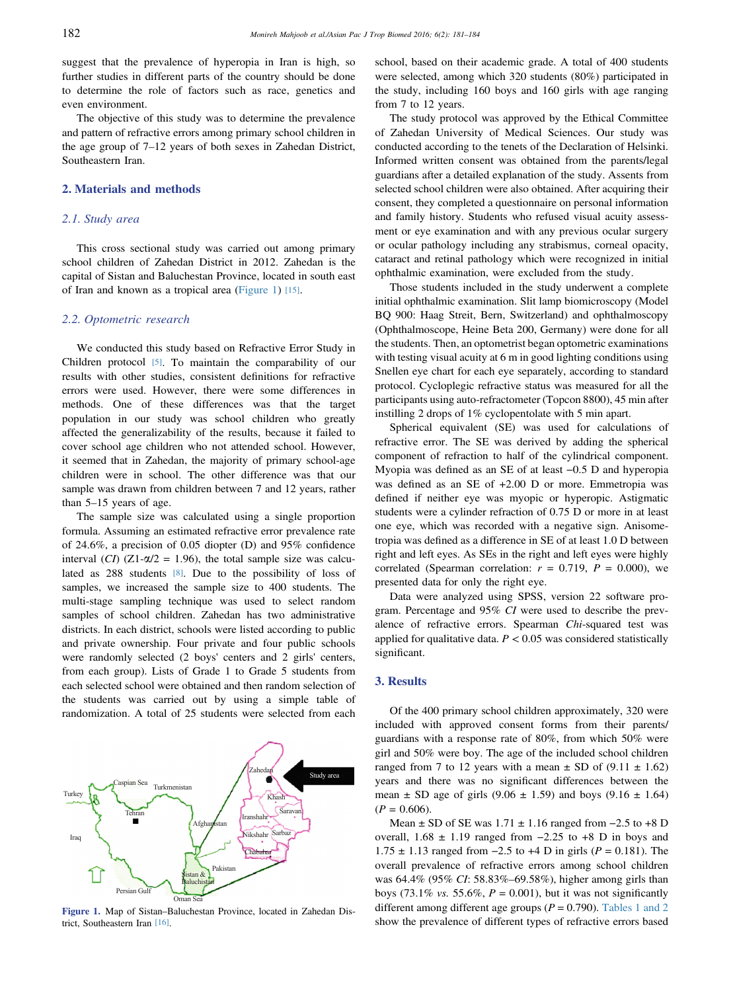suggest that the prevalence of hyperopia in Iran is high, so further studies in different parts of the country should be done to determine the role of factors such as race, genetics and even environment.

The objective of this study was to determine the prevalence and pattern of refractive errors among primary school children in the age group of 7–12 years of both sexes in Zahedan District, Southeastern Iran.

#### 2. Materials and methods

## 2.1. Study area

This cross sectional study was carried out among primary school children of Zahedan District in 2012. Zahedan is the capital of Sistan and Baluchestan Province, located in south east of Iran and known as a tropical area (Figure 1) [\[15\]](#page-3-0).

#### 2.2. Optometric research

We conducted this study based on Refractive Error Study in Children protocol [\[5\]](#page-3-0). To maintain the comparability of our results with other studies, consistent definitions for refractive errors were used. However, there were some differences in methods. One of these differences was that the target population in our study was school children who greatly affected the generalizability of the results, because it failed to cover school age children who not attended school. However, it seemed that in Zahedan, the majority of primary school-age children were in school. The other difference was that our sample was drawn from children between 7 and 12 years, rather than 5–15 years of age.

The sample size was calculated using a single proportion formula. Assuming an estimated refractive error prevalence rate of 24.6%, a precision of 0.05 diopter (D) and 95% confidence interval (CI) (Z1- $\alpha/2$  = 1.96), the total sample size was calculated as 288 students [\[8\]](#page-3-0). Due to the possibility of loss of samples, we increased the sample size to 400 students. The multi-stage sampling technique was used to select random samples of school children. Zahedan has two administrative districts. In each district, schools were listed according to public and private ownership. Four private and four public schools were randomly selected (2 boys' centers and 2 girls' centers, from each group). Lists of Grade 1 to Grade 5 students from each selected school were obtained and then random selection of the students was carried out by using a simple table of randomization. A total of 25 students were selected from each



Figure 1. Map of Sistan–Baluchestan Province, located in Zahedan District, Southeastern Iran [\[16\].](#page-3-0)

school, based on their academic grade. A total of 400 students were selected, among which 320 students (80%) participated in the study, including 160 boys and 160 girls with age ranging from 7 to 12 years.

The study protocol was approved by the Ethical Committee of Zahedan University of Medical Sciences. Our study was conducted according to the tenets of the Declaration of Helsinki. Informed written consent was obtained from the parents/legal guardians after a detailed explanation of the study. Assents from selected school children were also obtained. After acquiring their consent, they completed a questionnaire on personal information and family history. Students who refused visual acuity assessment or eye examination and with any previous ocular surgery or ocular pathology including any strabismus, corneal opacity, cataract and retinal pathology which were recognized in initial ophthalmic examination, were excluded from the study.

Those students included in the study underwent a complete initial ophthalmic examination. Slit lamp biomicroscopy (Model BQ 900: Haag Streit, Bern, Switzerland) and ophthalmoscopy (Ophthalmoscope, Heine Beta 200, Germany) were done for all the students. Then, an optometrist began optometric examinations with testing visual acuity at 6 m in good lighting conditions using Snellen eye chart for each eye separately, according to standard protocol. Cycloplegic refractive status was measured for all the participants using auto-refractometer (Topcon 8800), 45 min after instilling 2 drops of 1% cyclopentolate with 5 min apart.

Spherical equivalent (SE) was used for calculations of refractive error. The SE was derived by adding the spherical component of refraction to half of the cylindrical component. Myopia was defined as an SE of at least <sup>−</sup>0.5 D and hyperopia was defined as an SE of +2.00 D or more. Emmetropia was defined if neither eye was myopic or hyperopic. Astigmatic students were a cylinder refraction of 0.75 D or more in at least one eye, which was recorded with a negative sign. Anisometropia was defined as a difference in SE of at least 1.0 D between right and left eyes. As SEs in the right and left eyes were highly correlated (Spearman correlation:  $r = 0.719$ ,  $P = 0.000$ ), we presented data for only the right eye.

Data were analyzed using SPSS, version 22 software program. Percentage and 95% CI were used to describe the prevalence of refractive errors. Spearman Chi-squared test was applied for qualitative data.  $P < 0.05$  was considered statistically significant.

### 3. Results

Of the 400 primary school children approximately, 320 were included with approved consent forms from their parents/ guardians with a response rate of 80%, from which 50% were girl and 50% were boy. The age of the included school children ranged from 7 to 12 years with a mean  $\pm$  SD of (9.11  $\pm$  1.62) years and there was no significant differences between the mean  $\pm$  SD age of girls (9.06  $\pm$  1.59) and boys (9.16  $\pm$  1.64)  $(P = 0.606)$ . where was no significant differences between the<br>an  $\pm$  SD age of girls (9.06  $\pm$  1.59) and boys (9.16  $\pm$  1.64)<br>= 0.606).<br>Mean  $\pm$  SD of SE was 1.71  $\pm$  1.16 ranged from −2.5 to +8 D

mean  $\pm$  SD age of girls (9.06  $\pm$  1.59) and boys (9.16  $\pm$  1.64)<br>
(*P* = 0.606).<br>
Mean  $\pm$  SD of SE was 1.71  $\pm$  1.16 ranged from −2.5 to +8 D overall, 1.68  $\pm$  1.19 ranged from −2.25 to +8 D in boys and ( $P = 0.606$ ).<br>
Mean ± SD of SE was 1.71 ± 1.16 ranged from −2.5 to +8 D<br>
overall, 1.68 ± 1.19 ranged from −2.25 to +8 D in boys and<br>
1.75 ± 1.13 ranged from −2.5 to +4 D in girls ( $P = 0.181$ ). The overall prevalence of refractive errors among school children was 64.4% (95% CI: 58.83%–69.58%), higher among girls than boys (73.1% *vs.* 55.6%,  $P = 0.001$ ), but it was not significantly different among different age groups ( $P = 0.790$ ). [Tables 1 and 2](#page-2-0) show the prevalence of different types of refractive errors based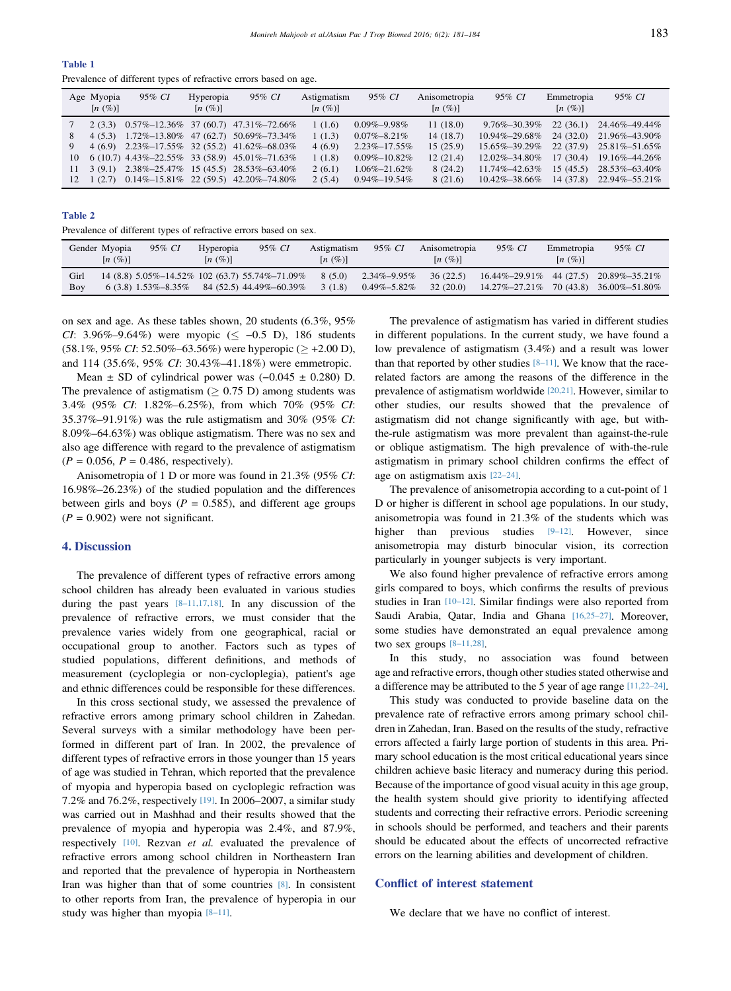<span id="page-2-0"></span>

| w<br>٠ | ٠<br>۰. | ٠ |  |
|--------|---------|---|--|

Prevalence of different types of refractive errors based on age.

|    | Age Myopia<br>[n(%)] | 95% CI | Hyperopia<br>$[n \ (\%)]$ | 95% CI                                                                          | Astigmatism<br>[n (%)] | 95% CI             | Anisometropia<br>[n (%)] | 95% CI              | Emmetropia<br>[n (%)] | 95% CI              |
|----|----------------------|--------|---------------------------|---------------------------------------------------------------------------------|------------------------|--------------------|--------------------------|---------------------|-----------------------|---------------------|
|    | 2(3.3)               |        |                           | $0.57\% - 12.36\%$ 37 (60.7) 47.31\% -72.66\%                                   | 1(1.6)                 | $0.09\% - 9.98\%$  | 11(18.0)                 | 9.76%–30.39%        | 22(36.1)              | 24.46%-49.44%       |
| 8. |                      |        |                           | 4 (5.3) 1.72%-13.80% 47 (62.7) 50.69%-73.34%                                    | 1(1.3)                 | $0.07\% - 8.21\%$  | 14(18.7)                 | $10.94\% - 29.68\%$ | 24(32.0)              | 21.96%-43.90%       |
|    |                      |        |                           | 4 (6.9) 2.23%-17.55% 32 (55.2) 41.62%-68.03%                                    | 4(6.9)                 | $2.23\% - 17.55\%$ | 15(25.9)                 | 15.65%-39.29%       | 22(37.9)              | $25.81\% - 51.65\%$ |
| 10 |                      |        |                           | $6(10.7)$ 4.43%-22.55% 33 (58.9) 45.01%-71.63%                                  | 1(1.8)                 | $0.09\% - 10.82\%$ | 12(21.4)                 | $12.02\% - 34.80\%$ | 17(30.4)              | 19.16%-44.26%       |
| 11 |                      |        |                           | $3(9.1)$ $2.38\% - 25.47\%$ 15 (45.5) $28.53\% - 63.40\%$                       | 2(6.1)                 | $1.06\% - 21.62\%$ | 8(24.2)                  | 11.74%-42.63%       | 15(45.5)              | 28.53%-63.40%       |
|    |                      |        |                           | $12 \quad 1(2.7) \quad 0.14\% - 15.81\% \quad 22(59.5) \quad 42.20\% - 74.80\%$ | 2(5.4)                 | $0.94\% - 19.54\%$ | 8 (21.6)                 | $10.42\% - 38.66\%$ | 14 (37.8)             | 22.94%-55.21%       |

Table 2

Prevalence of different types of refractive errors based on sex.

|             | Gender Myopia<br>[n (%)] | 95% CI               | Hyperopia<br>[n(%)] | 95% CI                                                                      | Astigmatism<br>[n (%)] | 95% CI                                 | Anisometropia<br>$\left\lceil n \right\rceil$ (%) | 95% CI        | Emmetropia<br>[n (%)] | 95% CI                                                                   |
|-------------|--------------------------|----------------------|---------------------|-----------------------------------------------------------------------------|------------------------|----------------------------------------|---------------------------------------------------|---------------|-----------------------|--------------------------------------------------------------------------|
| Girl<br>Boy |                          | $6(3.8)$ 1.53%-8.35% |                     | 14 (8.8) 5.05%-14.52% 102 (63.7) 55.74%-71.09%<br>84 (52.5) 44.49% - 60.39% | 8(5.0)<br>3(1.8)       | $2.34\% - 9.95\%$<br>$0.49\% - 5.82\%$ | 36(22.5)<br>32(20.0)                              | 14.27%–27.21% |                       | $16.44\% - 29.91\%$ 44 (27.5) 20.89%-35.21%<br>70 (43.8) 36.00% - 51.80% |

on sex and age. As these tables shown, 20 students (6.3%, 95% CI: 3.96%–9.64%) were myopic ( $\leq -0.5$  D), 186 students  $(58.1\%, 95\% \text{ CI: } 52.50\% - 63.56\%)$  were hyperopic ( $\geq +2.00 \text{ D}$ ), and 114 (35.6%, 95% CI: 30.43%–41.18%) were emmetropic. 3.96%–9.64%) were myopic (≤ -0.5 D), 186 students<br>.1%, 95% *CI*: 52.50%–63.56%) were hyperopic (≥ +2.00 D),<br>1 114 (35.6%, 95% *CI*: 30.43%–41.18%) were emmetropic.<br>Mean ± SD of cylindrical power was (-0.045 ± 0.280) D.

The prevalence of astigmatism ( $\geq 0.75$  D) among students was 3.4% (95% CI: 1.82%–6.25%), from which 70% (95% CI: 35.37%–91.91%) was the rule astigmatism and 30% (95% CI: 8.09%–64.63%) was oblique astigmatism. There was no sex and also age difference with regard to the prevalence of astigmatism  $(P = 0.056, P = 0.486, respectively).$ 

Anisometropia of 1 D or more was found in 21.3% (95% CI: 16.98%–26.23%) of the studied population and the differences between girls and boys ( $P = 0.585$ ), and different age groups  $(P = 0.902)$  were not significant.

### 4. Discussion

The prevalence of different types of refractive errors among school children has already been evaluated in various studies during the past years [8–[11,17,18\]](#page-3-0). In any discussion of the prevalence of refractive errors, we must consider that the prevalence varies widely from one geographical, racial or occupational group to another. Factors such as types of studied populations, different definitions, and methods of measurement (cycloplegia or non-cycloplegia), patient's age and ethnic differences could be responsible for these differences.

In this cross sectional study, we assessed the prevalence of refractive errors among primary school children in Zahedan. Several surveys with a similar methodology have been performed in different part of Iran. In 2002, the prevalence of different types of refractive errors in those younger than 15 years of age was studied in Tehran, which reported that the prevalence of myopia and hyperopia based on cycloplegic refraction was 7.2% and 76.2%, respectively [\[19\].](#page-3-0) In 2006–2007, a similar study was carried out in Mashhad and their results showed that the prevalence of myopia and hyperopia was 2.4%, and 87.9%, respectively [\[10\]](#page-3-0). Rezvan et al. evaluated the prevalence of refractive errors among school children in Northeastern Iran and reported that the prevalence of hyperopia in Northeastern Iran was higher than that of some countries [\[8\].](#page-3-0) In consistent to other reports from Iran, the prevalence of hyperopia in our study was higher than myopia [8–[11\].](#page-3-0)

The prevalence of astigmatism has varied in different studies in different populations. In the current study, we have found a low prevalence of astigmatism (3.4%) and a result was lower than that reported by other studies  $[8-11]$ . We know that the racerelated factors are among the reasons of the difference in the prevalence of astigmatism worldwide [\[20,21\].](#page-3-0) However, similar to other studies, our results showed that the prevalence of astigmatism did not change significantly with age, but withthe-rule astigmatism was more prevalent than against-the-rule or oblique astigmatism. The high prevalence of with-the-rule astigmatism in primary school children confirms the effect of age on astigmatism axis [\[22](#page-3-0)–24].

The prevalence of anisometropia according to a cut-point of 1 D or higher is different in school age populations. In our study, anisometropia was found in 21.3% of the students which was higher than previous studies [9–[12\]](#page-3-0). However, since anisometropia may disturb binocular vision, its correction particularly in younger subjects is very important.

We also found higher prevalence of refractive errors among girls compared to boys, which confirms the results of previous studies in Iran [10–[12\]](#page-3-0). Similar findings were also reported from Saudi Arabia, Qatar, India and Ghana [\[16,25](#page-3-0)–27]. Moreover, some studies have demonstrated an equal prevalence among two sex groups  $[8-11,28]$ .

In this study, no association was found between age and refractive errors, though other studies stated otherwise and a difference may be attributed to the 5 year of age range [\[11,22](#page-3-0)–24].

This study was conducted to provide baseline data on the prevalence rate of refractive errors among primary school children in Zahedan, Iran. Based on the results of the study, refractive errors affected a fairly large portion of students in this area. Primary school education is the most critical educational years since children achieve basic literacy and numeracy during this period. Because of the importance of good visual acuity in this age group, the health system should give priority to identifying affected students and correcting their refractive errors. Periodic screening in schools should be performed, and teachers and their parents should be educated about the effects of uncorrected refractive errors on the learning abilities and development of children.

## Conflict of interest statement

We declare that we have no conflict of interest.